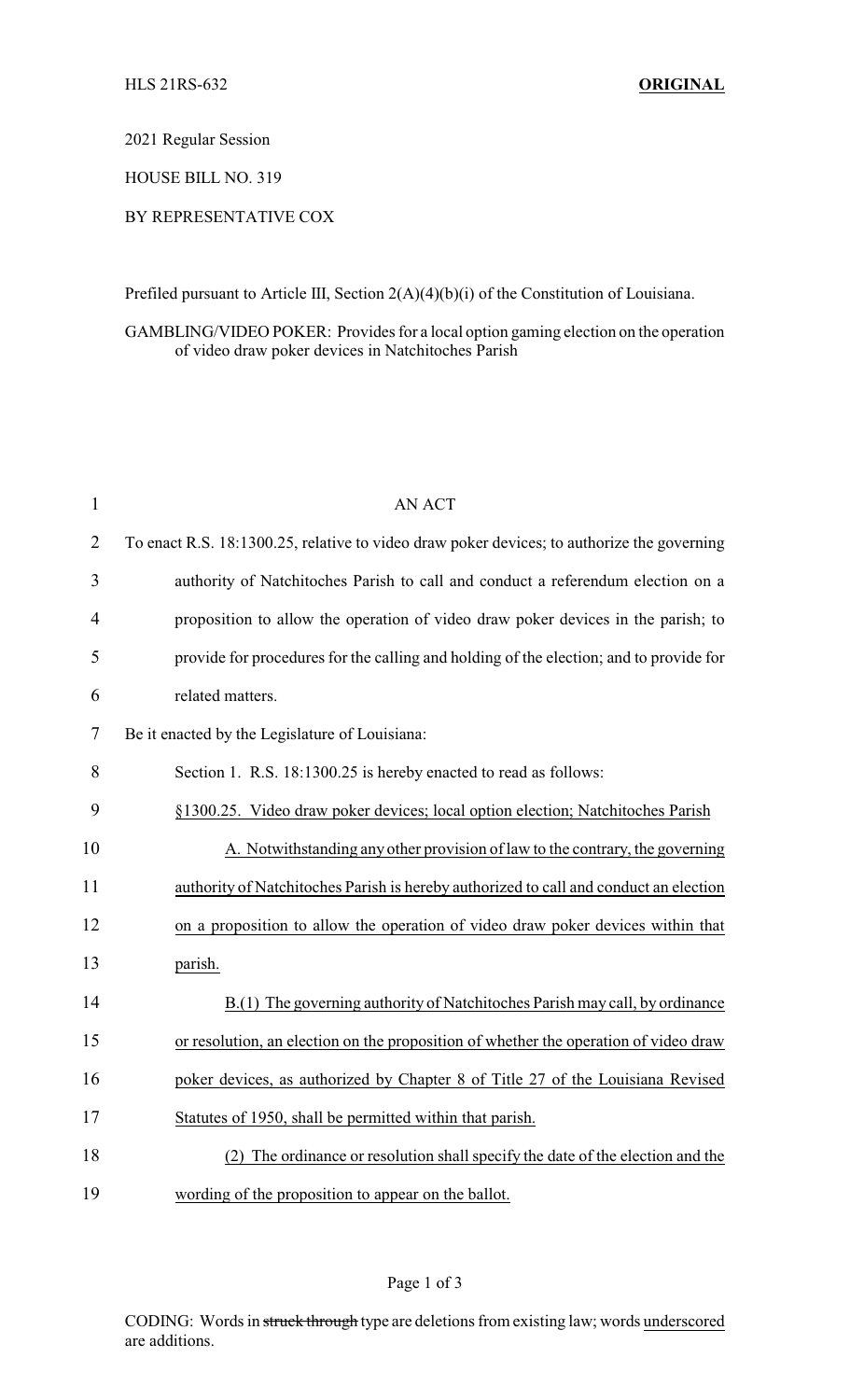2021 Regular Session

HOUSE BILL NO. 319

## BY REPRESENTATIVE COX

Prefiled pursuant to Article III, Section 2(A)(4)(b)(i) of the Constitution of Louisiana.

## GAMBLING/VIDEO POKER: Provides for a local option gaming election on the operation of video draw poker devices in Natchitoches Parish

| $\mathbf{1}$   | <b>AN ACT</b>                                                                              |
|----------------|--------------------------------------------------------------------------------------------|
| $\overline{2}$ | To enact R.S. 18:1300.25, relative to video draw poker devices; to authorize the governing |
| 3              | authority of Natchitoches Parish to call and conduct a referendum election on a            |
| 4              | proposition to allow the operation of video draw poker devices in the parish; to           |
| 5              | provide for procedures for the calling and holding of the election; and to provide for     |
| 6              | related matters.                                                                           |
| 7              | Be it enacted by the Legislature of Louisiana:                                             |
| 8              | Section 1. R.S. 18:1300.25 is hereby enacted to read as follows:                           |
| 9              | §1300.25. Video draw poker devices; local option election; Natchitoches Parish             |
| 10             | A. Notwithstanding any other provision of law to the contrary, the governing               |
| 11             | authority of Natchitoches Parish is hereby authorized to call and conduct an election      |
| 12             | on a proposition to allow the operation of video draw poker devices within that            |
| 13             | parish.                                                                                    |
| 14             | B.(1) The governing authority of Natchitoches Parish may call, by ordinance                |
| 15             | or resolution, an election on the proposition of whether the operation of video draw       |
| 16             | poker devices, as authorized by Chapter 8 of Title 27 of the Louisiana Revised             |
| 17             | Statutes of 1950, shall be permitted within that parish.                                   |
| 18             | The ordinance or resolution shall specify the date of the election and the<br>(2)          |
| 19             | wording of the proposition to appear on the ballot.                                        |

## Page 1 of 3

CODING: Words in struck through type are deletions from existing law; words underscored are additions.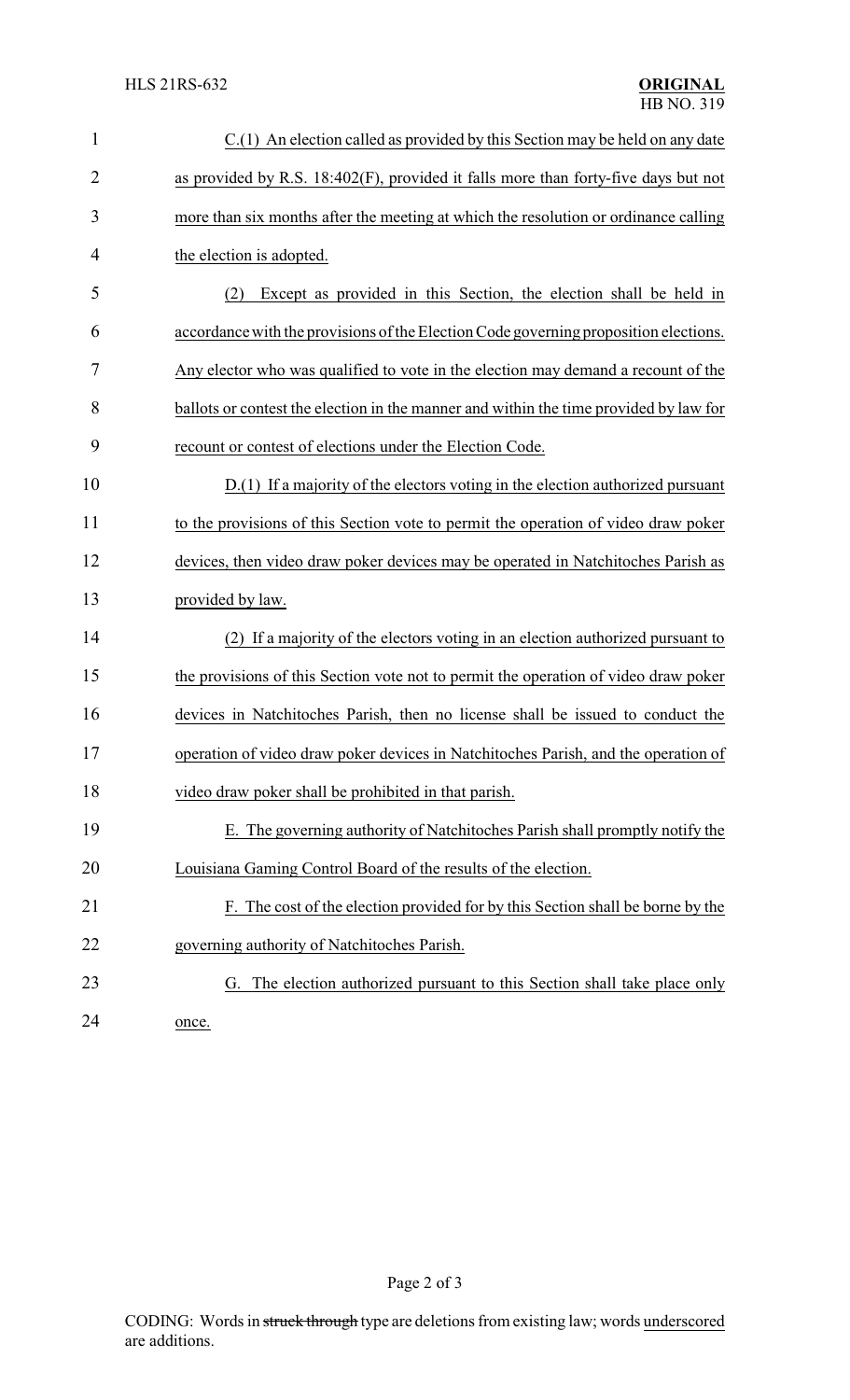| $\mathbf{1}$   | C.(1) An election called as provided by this Section may be held on any date          |
|----------------|---------------------------------------------------------------------------------------|
| $\overline{2}$ | as provided by R.S. 18:402(F), provided it falls more than forty-five days but not    |
| 3              | more than six months after the meeting at which the resolution or ordinance calling   |
| 4              | the election is adopted.                                                              |
| 5              | Except as provided in this Section, the election shall be held in<br>(2)              |
| 6              | accordance with the provisions of the Election Code governing proposition elections.  |
| 7              | Any elector who was qualified to vote in the election may demand a recount of the     |
| 8              | ballots or contest the election in the manner and within the time provided by law for |
| 9              | recount or contest of elections under the Election Code.                              |
| 10             | D.(1) If a majority of the electors voting in the election authorized pursuant        |
| 11             | to the provisions of this Section vote to permit the operation of video draw poker    |
| 12             | devices, then video draw poker devices may be operated in Natchitoches Parish as      |
| 13             | provided by law.                                                                      |
| 14             | (2) If a majority of the electors voting in an election authorized pursuant to        |
| 15             | the provisions of this Section vote not to permit the operation of video draw poker   |
| 16             | devices in Natchitoches Parish, then no license shall be issued to conduct the        |
| 17             | operation of video draw poker devices in Natchitoches Parish, and the operation of    |
| 18             | video draw poker shall be prohibited in that parish.                                  |
| 19             | E. The governing authority of Natchitoches Parish shall promptly notify the           |
| 20             | Louisiana Gaming Control Board of the results of the election.                        |
| 21             | F. The cost of the election provided for by this Section shall be borne by the        |
| 22             | governing authority of Natchitoches Parish.                                           |
| 23             | G. The election authorized pursuant to this Section shall take place only             |
| 24             | once.                                                                                 |